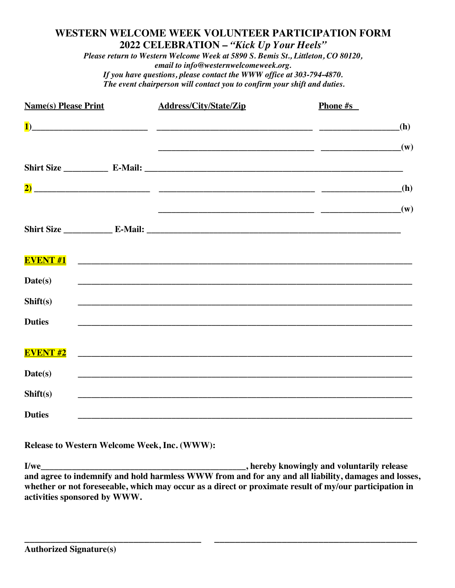# **WESTERN WELCOME WEEK VOLUNTEER PARTICIPATION FORM 2022 CELEBRATION –** *"Kick Up Your Heels"*

*Please return to Western Welcome Week at 5890 S. Bemis St., Littleton, CO 80120, email to info@westernwelcomeweek.org. If you have questions, please contact the WWW office at 303-794-4870. The event chairperson will contact you to confirm your shift and duties.*

| <b>Name(s) Please Print</b> | <b>Address/City/State/Zip</b>                                                     | <b>Phone #s</b> |
|-----------------------------|-----------------------------------------------------------------------------------|-----------------|
| $\mathbf{1}$                |                                                                                   | (h)             |
|                             | $\overline{\phantom{a}}$ (w)                                                      |                 |
|                             |                                                                                   |                 |
|                             |                                                                                   | (h)             |
|                             |                                                                                   | (w)             |
|                             |                                                                                   |                 |
|                             |                                                                                   |                 |
| <b>EVENT#1</b>              |                                                                                   |                 |
| Date(s)                     |                                                                                   |                 |
| Shift(s)                    | ,我们也不能在这里的时候,我们也不能在这里的时候,我们也不能会在这里的时候,我们也不能会在这里的时候,我们也不能会在这里的时候,我们也不能会在这里的时候,我们也不 |                 |
| <b>Duties</b>               | ,我们也不能在这里的时候,我们也不能在这里的时候,我们也不能会在这里的时候,我们也不能会在这里的时候,我们也不能会在这里的时候,我们也不能会在这里的时候,我们也不 |                 |
|                             |                                                                                   |                 |
| <b>EVENT#2</b>              |                                                                                   |                 |
| Date(s)                     |                                                                                   |                 |
| Shift(s)                    |                                                                                   |                 |
| <b>Duties</b>               |                                                                                   |                 |

**Release to Western Welcome Week, Inc. (WWW):** 

**I/we\_\_\_\_\_\_\_\_\_\_\_\_\_\_\_\_\_\_\_\_\_\_\_\_\_\_\_\_\_\_\_\_\_\_\_\_\_\_\_\_\_\_\_\_\_\_, hereby knowingly and voluntarily release and agree to indemnify and hold harmless WWW from and for any and all liability, damages and losses, whether or not foreseeable, which may occur as a direct or proximate result of my/our participation in activities sponsored by WWW.**

**\_\_\_\_\_\_\_\_\_\_\_\_\_\_\_\_\_\_\_\_\_\_\_\_\_\_\_\_\_\_\_\_\_\_ \_\_\_\_\_\_\_\_\_\_\_\_\_\_\_\_\_\_\_\_\_\_\_\_\_\_\_\_\_\_\_\_\_\_\_\_\_\_\_**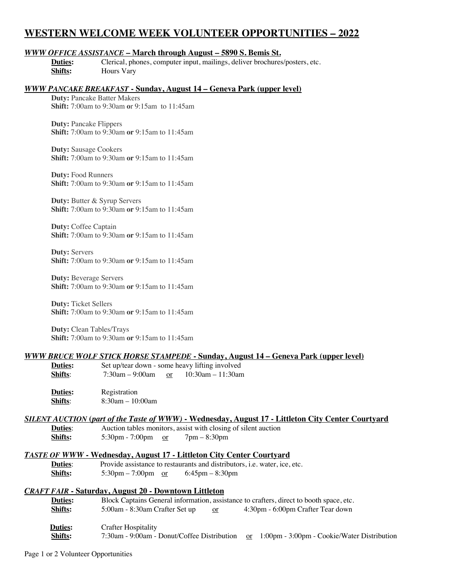# **WESTERN WELCOME WEEK VOLUNTEER OPPORTUNITIES – 2022**

## *WWW OFFICE ASSISTANCE* **– March through August – 5890 S. Bemis St.**

**Duties:** Clerical, phones, computer input, mailings, deliver brochures/posters, etc. **Shifts:** Hours Vary

## *WWW PANCAKE BREAKFAST* **- Sunday, August 14 – Geneva Park (upper level)**

**Duty:** Pancake Batter Makers **Shift:** 7:00am to 9:30am **o**r 9:15am to 11:45am

**Duty:** Pancake Flippers **Shift:** 7:00am to 9:30am **or** 9:15am to 11:45am

**Duty:** Sausage Cookers **Shift:** 7:00am to 9:30am **or** 9:15am to 11:45am

**Duty:** Food Runners **Shift:** 7:00am to 9:30am **or** 9:15am to 11:45am

**Duty:** Butter & Syrup Servers **Shift:** 7:00am to 9:30am **or** 9:15am to 11:45am

**Duty:** Coffee Captain **Shift:** 7:00am to 9:30am **or** 9:15am to 11:45am

**Duty:** Servers **Shift:** 7:00am to 9:30am **or** 9:15am to 11:45am

**Duty:** Beverage Servers **Shift:** 7:00am to 9:30am **or** 9:15am to 11:45am

**Duty:** Ticket Sellers **Shift:** 7:00am to 9:30am **or** 9:15am to 11:45am

**Duty:** Clean Tables/Trays **Shift:** 7:00am to 9:30am **or** 9:15am to 11:45am

#### *WWW BRUCE WOLF STICK HORSE STAMPEDE* **- Sunday, August 14 – Geneva Park (upper level)**

| <b>Duties:</b> |                    |          | Set up/tear down - some heavy lifting involved |
|----------------|--------------------|----------|------------------------------------------------|
| Shifts:        | $7:30$ am – 9:00am | $\alpha$ | $10:30$ am – 11:30am                           |

**Duties:** Registration **Shifts**: 8:30am – 10:00am

## *SILENT AUCTION* **(***part of the Taste of WWW)* **- Wednesday, August 17 - Littleton City Center Courtyard**

**Duties**: Auction tables monitors, assist with closing of silent auction **Shifts:** 5:30pm - 7:00pm <u>or</u> 7pm – 8:30pm

#### *TASTE OF WWW* **- Wednesday, August 17 - Littleton City Center Courtyard**

**Duties**: Provide assistance to restaurants and distributors, i.e. water, ice, etc. **Shifts:** 5:30pm – 7:00pm <u>or</u> 6:45pm – 8:30pm

#### *CRAFT FAIR* **- Saturday, August 20 - Downtown Littleton**

| <b>Duties:</b> | Block Captains General information, assistance to crafters, direct to booth space, etc. |                                                              |  |
|----------------|-----------------------------------------------------------------------------------------|--------------------------------------------------------------|--|
| Shifts:        | 5:00am - 8:30am Crafter Set up<br>or                                                    | 4:30pm - 6:00pm Crafter Tear down                            |  |
| Duties:        | Crafter Hospitality                                                                     |                                                              |  |
| <b>Shifts:</b> | 7:30am - 9:00am - Donut/Coffee Distribution                                             | 1:00pm - 3:00pm - Cookie/Water Distribution<br><sub>or</sub> |  |

Page 1 or 2 Volunteer Opportunities